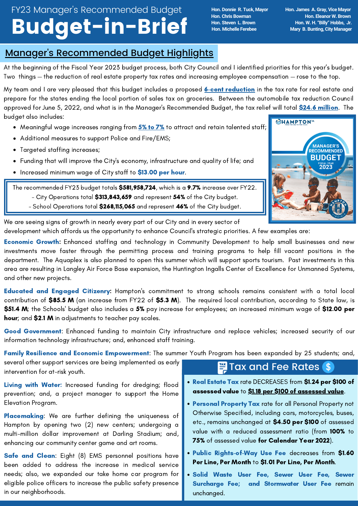# FY23 Manager's Recommended Budget Budget-in-Brief

**Hon. Donnie R. Tuck, Mayor Hon. James A. Gray, Vice Mayor Hon. Chris Bowman Hon. Eleanor W. Brown Hon. Steven L. Brown Hon. W. H. "Billy" Hobbs, Jr. Mary B. Bunting, City Manager** 

#### Manager's Recommended Budget Highlights

At the beginning of the Fiscal Year 2023 budget process, both City Council and I identified priorities for this year's budget. Two things — the reduction of real estate property tax rates and increasing employee compensation — rose to the top.

My team and I are very pleased that this budget includes a proposed **6-cent reduction** in the tax rate for real estate and prepare for the states ending the local portion of sales tax on groceries. Between the automobile tax reduction Council approved for June 5, 2022, and what is in the Manager's Recommended Budget, the tax relief will total \$24.6 million. The budget also includes:

- Meaningful wage increases ranging from 5% to 7% to attract and retain talented staff;
- Additional measures to support Police and Fire/EMS;
- Targeted staffing increases;
- Funding that will improve the City's economy, infrastructure and quality of life; and  $\bullet$
- Increased minimum wage of City staff to \$13.00 per hour.

The recommended FY23 budget totals \$581,958,724, which is a 9.7% increase over FY22.

- City Operations total \$313,843,659 and represent 54% of the City budget.
- School Operations total \$268,115,065 and represent 46% of the City budget.



We are seeing signs of growth in nearly every part of our City and in every sector of development which affords us the opportunity to enhance Council's strategic priorities. A few examples are:

**Economic Growth:** Enhanced staffing and technology in Community Development to help small businesses and new investments move faster through the permitting process and training programs to help fill vacant positions in the department. The Aquaplex is also planned to open this summer which will support sports tourism. Past investments in this area are resulting in Langley Air Force Base expansion, the Huntington Ingalls Center of Excellence for Unmanned Systems, and other new projects.

Educated and Engaged Citizenry: Hampton's commitment to strong schools remains consistent with a total local contribution of \$85.5 M (an increase from FY22 of \$5.3 M). The required local contribution, according to State law, is \$51.4 M; the Schools' budget also includes a 5% pay increase for employees; an increased minimum wage of \$12.00 per hour; and \$2.1 M in adjustments to teacher pay scales.

Good Government: Enhanced funding to maintain City infrastructure and replace vehicles; increased security of our information technology infrastructure; and, enhanced staff training.

Family Resilience and Economic Empowerment: The summer Youth Program has been expanded by 25 students; and,

several other support services are being implemented as early intervention for at-risk youth.

Living with Water: Increased funding for dredging; flood prevention; and, a project manager to support the Home Elevation Program.

Placemaking: We are further defining the uniqueness of Hampton by opening two (2) new centers; undergoing a multi-million dollar improvement at Darling Stadium; and, enhancing our community center game and art rooms.

Safe and Clean: Eight (8) EMS personnel positions have been added to address the increase in medical service needs; also, we expanded our take home car program for eligible police officers to increase the public safety presence in our neighborhoods.

## $\equiv$  Tax and Fee Rates  $\frac{2}{3}$

- Real Estate Tax rate DECREASES from \$1.24 per \$100 of assessed value to \$1.18 per \$100 of assessed value.
- Personal Property Tax rate for all Personal Property not Otherwise Specified, including cars, motorcycles, buses, etc., remains unchanged at \$4.50 per \$100 of assessed value with a reduced assessment ratio (from 100% to 75% of assessed value for Calendar Year 2022).
- Public Rights-of-Way Use Fee decreases from \$1.60 Per Line, Per Month to \$1.01 Per Line, Per Month.
- Solid Waste User Fee, Sewer User Fee, Sewer Surcharge Fee; and Stormwater User Fee remain unchanged.